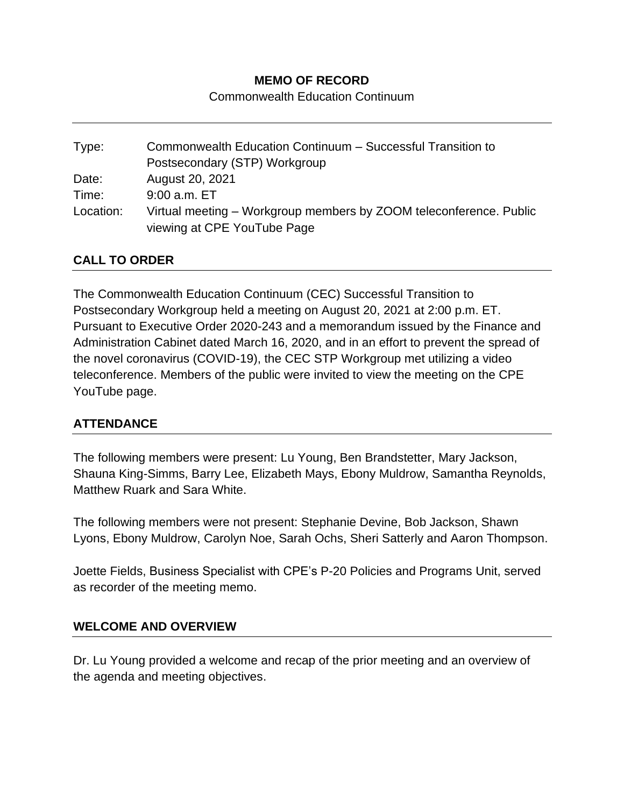## **MEMO OF RECORD**

Commonwealth Education Continuum

| Type:     | Commonwealth Education Continuum - Successful Transition to                                       |
|-----------|---------------------------------------------------------------------------------------------------|
|           | Postsecondary (STP) Workgroup                                                                     |
| Date:     | August 20, 2021                                                                                   |
| Time:     | $9:00$ a.m. $ET$                                                                                  |
| Location: | Virtual meeting – Workgroup members by ZOOM teleconference. Public<br>viewing at CPE YouTube Page |

## **CALL TO ORDER**

The Commonwealth Education Continuum (CEC) Successful Transition to Postsecondary Workgroup held a meeting on August 20, 2021 at 2:00 p.m. ET. Pursuant to Executive Order 2020-243 and a memorandum issued by the Finance and Administration Cabinet dated March 16, 2020, and in an effort to prevent the spread of the novel coronavirus (COVID-19), the CEC STP Workgroup met utilizing a video teleconference. Members of the public were invited to view the meeting on the CPE YouTube page.

## **ATTENDANCE**

The following members were present: Lu Young, Ben Brandstetter, Mary Jackson, Shauna King-Simms, Barry Lee, Elizabeth Mays, Ebony Muldrow, Samantha Reynolds, Matthew Ruark and Sara White.

The following members were not present: Stephanie Devine, Bob Jackson, Shawn Lyons, Ebony Muldrow, Carolyn Noe, Sarah Ochs, Sheri Satterly and Aaron Thompson.

Joette Fields, Business Specialist with CPE's P-20 Policies and Programs Unit, served as recorder of the meeting memo.

#### **WELCOME AND OVERVIEW**

Dr. Lu Young provided a welcome and recap of the prior meeting and an overview of the agenda and meeting objectives.